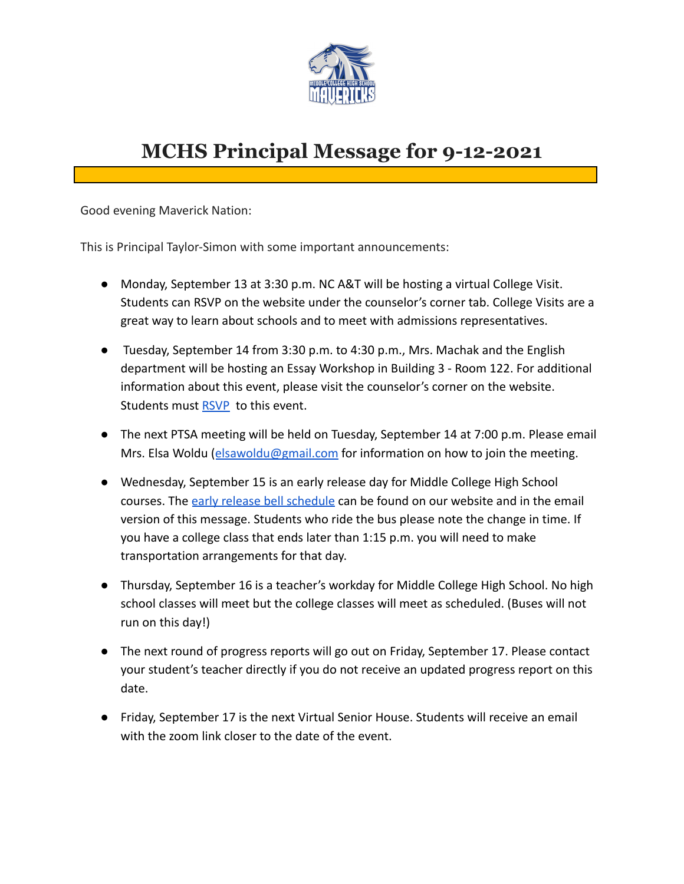

## **MCHS Principal Message for 9-12-2021**

Good evening Maverick Nation:

This is Principal Taylor-Simon with some important announcements:

- Monday, September 13 at 3:30 p.m. NC A&T will be hosting a virtual College Visit. Students can RSVP on the website under the counselor's corner tab. College Visits are a great way to learn about schools and to meet with admissions representatives.
- Tuesday, September 14 from 3:30 p.m. to 4:30 p.m., Mrs. Machak and the English department will be hosting an Essay Workshop in Building 3 - Room 122. For additional information about this event, please visit the counselor's corner on the website. Students must [RSVP](https://docs.google.com/forms/d/e/1FAIpQLSfdPePDNsigr6GCRcID-ahGyyo6m3zoyvNgOCdaMEqTqx4xPg/viewform?usp=sf_link) to this event.
- The next PTSA meeting will be held on Tuesday, September 14 at 7:00 p.m. Please email Mrs. Elsa Woldu ([elsawoldu@gmail.com](mailto:elsawoldu@gmail.com) for information on how to join the meeting.
- Wednesday, September 15 is an early release day for Middle College High School courses. The [early release bell schedule](https://www.dpsnc.net/site/default.aspx?DomainID=777) can be found on our website and in the email version of this message. Students who ride the bus please note the change in time. If you have a college class that ends later than 1:15 p.m. you will need to make transportation arrangements for that day.
- Thursday, September 16 is a teacher's workday for Middle College High School. No high school classes will meet but the college classes will meet as scheduled. (Buses will not run on this day!)
- The next round of progress reports will go out on Friday, September 17. Please contact your student's teacher directly if you do not receive an updated progress report on this date.
- Friday, September 17 is the next Virtual Senior House. Students will receive an email with the zoom link closer to the date of the event.